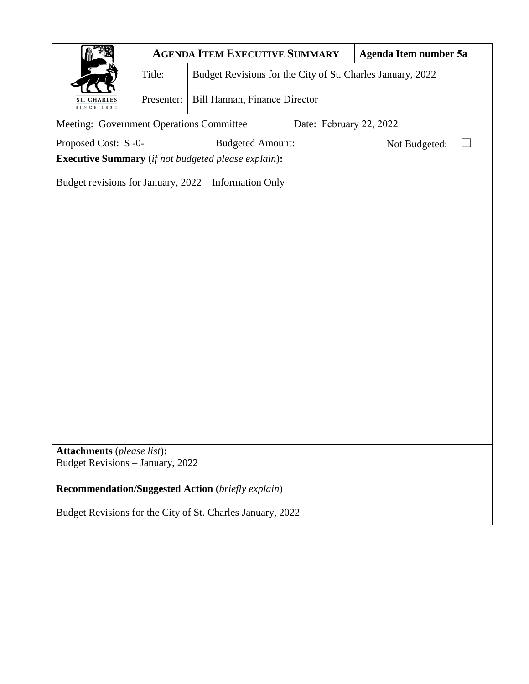|                                                                     |                                             |                                                            | <b>AGENDA ITEM EXECUTIVE SUMMARY</b> | Agenda Item number 5a |  |  |  |  |  |  |
|---------------------------------------------------------------------|---------------------------------------------|------------------------------------------------------------|--------------------------------------|-----------------------|--|--|--|--|--|--|
|                                                                     | Title:                                      | Budget Revisions for the City of St. Charles January, 2022 |                                      |                       |  |  |  |  |  |  |
| <b>ST. CHARLES</b><br>SINCE 1834                                    | Bill Hannah, Finance Director<br>Presenter: |                                                            |                                      |                       |  |  |  |  |  |  |
| Meeting: Government Operations Committee<br>Date: February 22, 2022 |                                             |                                                            |                                      |                       |  |  |  |  |  |  |
| Proposed Cost: \$-0-<br><b>Budgeted Amount:</b><br>Not Budgeted:    |                                             |                                                            |                                      |                       |  |  |  |  |  |  |
| <b>Executive Summary</b> (if not budgeted please explain):          |                                             |                                                            |                                      |                       |  |  |  |  |  |  |
| Budget revisions for January, 2022 - Information Only               |                                             |                                                            |                                      |                       |  |  |  |  |  |  |
|                                                                     |                                             |                                                            |                                      |                       |  |  |  |  |  |  |
|                                                                     |                                             |                                                            |                                      |                       |  |  |  |  |  |  |
|                                                                     |                                             |                                                            |                                      |                       |  |  |  |  |  |  |
|                                                                     |                                             |                                                            |                                      |                       |  |  |  |  |  |  |
|                                                                     |                                             |                                                            |                                      |                       |  |  |  |  |  |  |
|                                                                     |                                             |                                                            |                                      |                       |  |  |  |  |  |  |
|                                                                     |                                             |                                                            |                                      |                       |  |  |  |  |  |  |
|                                                                     |                                             |                                                            |                                      |                       |  |  |  |  |  |  |
|                                                                     |                                             |                                                            |                                      |                       |  |  |  |  |  |  |
|                                                                     |                                             |                                                            |                                      |                       |  |  |  |  |  |  |
|                                                                     |                                             |                                                            |                                      |                       |  |  |  |  |  |  |
|                                                                     |                                             |                                                            |                                      |                       |  |  |  |  |  |  |
|                                                                     |                                             |                                                            |                                      |                       |  |  |  |  |  |  |
| <b>Attachments</b> (please list):                                   |                                             |                                                            |                                      |                       |  |  |  |  |  |  |
| Budget Revisions - January, 2022                                    |                                             |                                                            |                                      |                       |  |  |  |  |  |  |
| <b>Recommendation/Suggested Action</b> (briefly explain)            |                                             |                                                            |                                      |                       |  |  |  |  |  |  |
| Budget Revisions for the City of St. Charles January, 2022          |                                             |                                                            |                                      |                       |  |  |  |  |  |  |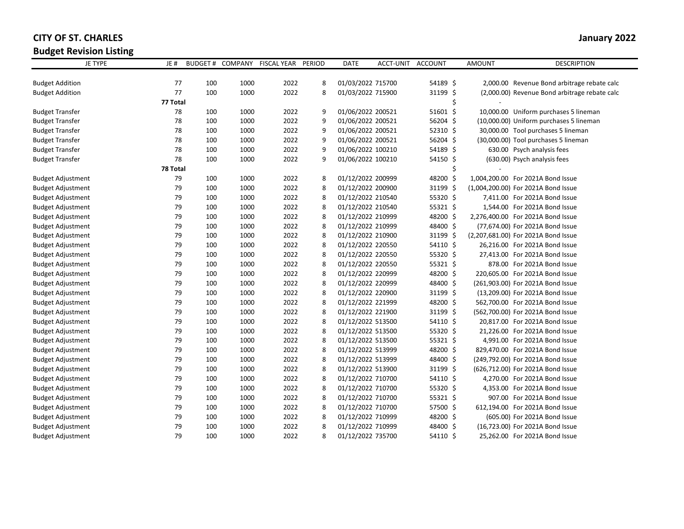## **CITY OF ST. CHARLES January 2022**

**Budget Revision Listing**

| JE TYPE                  | JE#      |     |      | BUDGET # COMPANY FISCAL YEAR | <b>PERIOD</b> | <b>DATE</b>       | ACCT-UNIT ACCOUNT |            | <b>AMOUNT</b> | <b>DESCRIPTION</b>                            |
|--------------------------|----------|-----|------|------------------------------|---------------|-------------------|-------------------|------------|---------------|-----------------------------------------------|
|                          |          |     |      |                              |               |                   |                   |            |               |                                               |
| <b>Budget Addition</b>   | 77       | 100 | 1000 | 2022                         | 8             | 01/03/2022 715700 |                   | 54189 \$   |               | 2,000.00 Revenue Bond arbitrage rebate calc   |
| <b>Budget Addition</b>   | 77       | 100 | 1000 | 2022                         | 8             | 01/03/2022 715900 |                   | 31199 \$   |               | (2,000.00) Revenue Bond arbitrage rebate calc |
|                          | 77 Total |     |      |                              |               |                   |                   | \$         |               |                                               |
| <b>Budget Transfer</b>   | 78       | 100 | 1000 | 2022                         | 9             | 01/06/2022 200521 |                   | 51601 \$   |               | 10,000.00 Uniform purchases 5 lineman         |
| <b>Budget Transfer</b>   | 78       | 100 | 1000 | 2022                         | 9             | 01/06/2022 200521 |                   | 56204 \$   |               | (10,000.00) Uniform purchases 5 lineman       |
| <b>Budget Transfer</b>   | 78       | 100 | 1000 | 2022                         | 9             | 01/06/2022 200521 |                   | $52310$ \$ |               | 30,000.00 Tool purchases 5 lineman            |
| <b>Budget Transfer</b>   | 78       | 100 | 1000 | 2022                         | 9             | 01/06/2022 200521 |                   | 56204 \$   |               | (30,000.00) Tool purchases 5 lineman          |
| <b>Budget Transfer</b>   | 78       | 100 | 1000 | 2022                         | 9             | 01/06/2022 100210 |                   | 54189 \$   |               | 630.00 Psych analysis fees                    |
| <b>Budget Transfer</b>   | 78       | 100 | 1000 | 2022                         | 9             | 01/06/2022 100210 |                   | 54150 \$   |               | (630.00) Psych analysis fees                  |
|                          | 78 Total |     |      |                              |               |                   |                   | \$         |               |                                               |
| <b>Budget Adjustment</b> | 79       | 100 | 1000 | 2022                         | 8             | 01/12/2022 200999 |                   | 48200 \$   |               | 1,004,200.00 For 2021A Bond Issue             |
| <b>Budget Adjustment</b> | 79       | 100 | 1000 | 2022                         | 8             | 01/12/2022 200900 |                   | 31199 \$   |               | (1,004,200.00) For 2021A Bond Issue           |
| <b>Budget Adjustment</b> | 79       | 100 | 1000 | 2022                         | 8             | 01/12/2022 210540 |                   | 55320 \$   |               | 7,411.00 For 2021A Bond Issue                 |
| <b>Budget Adjustment</b> | 79       | 100 | 1000 | 2022                         | 8             | 01/12/2022 210540 |                   | 55321 \$   |               | 1,544.00 For 2021A Bond Issue                 |
| <b>Budget Adjustment</b> | 79       | 100 | 1000 | 2022                         | 8             | 01/12/2022 210999 |                   | 48200 \$   |               | 2,276,400.00 For 2021A Bond Issue             |
| <b>Budget Adjustment</b> | 79       | 100 | 1000 | 2022                         | 8             | 01/12/2022 210999 |                   | 48400 \$   |               | (77,674.00) For 2021A Bond Issue              |
| <b>Budget Adjustment</b> | 79       | 100 | 1000 | 2022                         | 8             | 01/12/2022 210900 |                   | 31199 \$   |               | (2,207,681.00) For 2021A Bond Issue           |
| <b>Budget Adjustment</b> | 79       | 100 | 1000 | 2022                         | 8             | 01/12/2022 220550 |                   | 54110 \$   |               | 26,216.00 For 2021A Bond Issue                |
| <b>Budget Adjustment</b> | 79       | 100 | 1000 | 2022                         | 8             | 01/12/2022 220550 |                   | 55320 \$   |               | 27,413.00 For 2021A Bond Issue                |
| <b>Budget Adjustment</b> | 79       | 100 | 1000 | 2022                         | 8             | 01/12/2022 220550 |                   | 55321 \$   |               | 878.00 For 2021A Bond Issue                   |
| <b>Budget Adjustment</b> | 79       | 100 | 1000 | 2022                         | 8             | 01/12/2022 220999 |                   | 48200 \$   |               | 220,605.00 For 2021A Bond Issue               |
| <b>Budget Adjustment</b> | 79       | 100 | 1000 | 2022                         | 8             | 01/12/2022 220999 |                   | 48400 \$   |               | (261,903.00) For 2021A Bond Issue             |
| <b>Budget Adjustment</b> | 79       | 100 | 1000 | 2022                         | 8             | 01/12/2022 220900 |                   | 31199 \$   |               | (13,209.00) For 2021A Bond Issue              |
| <b>Budget Adjustment</b> | 79       | 100 | 1000 | 2022                         | 8             | 01/12/2022 221999 |                   | 48200 \$   |               | 562,700.00 For 2021A Bond Issue               |
| <b>Budget Adjustment</b> | 79       | 100 | 1000 | 2022                         | 8             | 01/12/2022 221900 |                   | 31199 \$   |               | (562,700.00) For 2021A Bond Issue             |
| <b>Budget Adjustment</b> | 79       | 100 | 1000 | 2022                         | 8             | 01/12/2022 513500 |                   | 54110 \$   |               | 20,817.00 For 2021A Bond Issue                |
| <b>Budget Adjustment</b> | 79       | 100 | 1000 | 2022                         | 8             | 01/12/2022 513500 |                   | 55320 \$   |               | 21,226.00 For 2021A Bond Issue                |
| <b>Budget Adjustment</b> | 79       | 100 | 1000 | 2022                         | 8             | 01/12/2022 513500 |                   | 55321 \$   |               | 4,991.00 For 2021A Bond Issue                 |
| <b>Budget Adjustment</b> | 79       | 100 | 1000 | 2022                         | 8             | 01/12/2022 513999 |                   | 48200 \$   |               | 829,470.00 For 2021A Bond Issue               |
| <b>Budget Adjustment</b> | 79       | 100 | 1000 | 2022                         | 8             | 01/12/2022 513999 |                   | 48400 \$   |               | (249,792.00) For 2021A Bond Issue             |
| <b>Budget Adjustment</b> | 79       | 100 | 1000 | 2022                         | 8             | 01/12/2022 513900 |                   | 31199 \$   |               | (626,712.00) For 2021A Bond Issue             |
| <b>Budget Adjustment</b> | 79       | 100 | 1000 | 2022                         | 8             | 01/12/2022 710700 |                   | 54110 \$   |               | 4,270.00 For 2021A Bond Issue                 |
| <b>Budget Adjustment</b> | 79       | 100 | 1000 | 2022                         | 8             | 01/12/2022 710700 |                   | 55320 \$   |               | 4,353.00 For 2021A Bond Issue                 |
| <b>Budget Adjustment</b> | 79       | 100 | 1000 | 2022                         | 8             | 01/12/2022 710700 |                   | $55321$ \$ |               | 907.00 For 2021A Bond Issue                   |
| <b>Budget Adjustment</b> | 79       | 100 | 1000 | 2022                         | 8             | 01/12/2022 710700 |                   | 57500 \$   |               | 612,194.00 For 2021A Bond Issue               |
| <b>Budget Adjustment</b> | 79       | 100 | 1000 | 2022                         | 8             | 01/12/2022 710999 |                   | 48200 \$   |               | (605.00) For 2021A Bond Issue                 |
| <b>Budget Adjustment</b> | 79       | 100 | 1000 | 2022                         | 8             | 01/12/2022 710999 |                   | 48400 \$   |               | (16,723.00) For 2021A Bond Issue              |
| <b>Budget Adjustment</b> | 79       | 100 | 1000 | 2022                         | 8             | 01/12/2022 735700 |                   | 54110 \$   |               | 25,262.00 For 2021A Bond Issue                |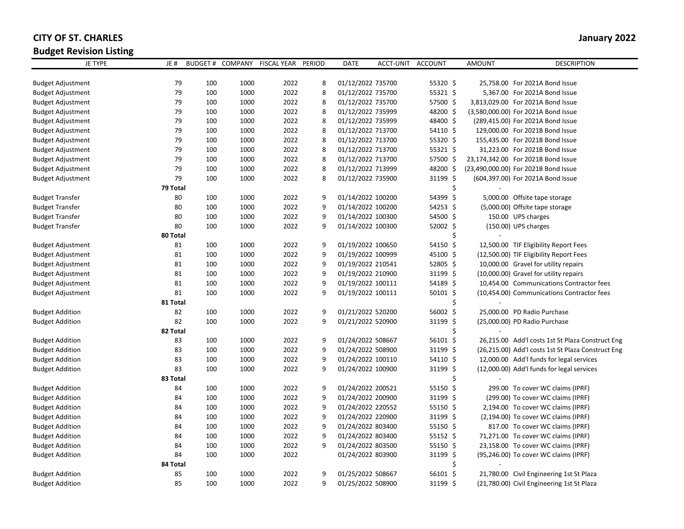## **CITY OF ST. CHARLES January 2022**

**Budget Revision Listing**

| ັ<br><b>JE TYPE</b>      | JE#            | <b>BUDGET#</b> | COMPANY | FISCAL YEAR PERIOD |   | <b>DATE</b>       | ACCT-UNIT ACCOUNT |            | <b>AMOUNT</b> | <b>DESCRIPTION</b>                                 |
|--------------------------|----------------|----------------|---------|--------------------|---|-------------------|-------------------|------------|---------------|----------------------------------------------------|
|                          |                |                |         | 2022               |   |                   |                   |            |               |                                                    |
| <b>Budget Adjustment</b> | 79             | 100            | 1000    |                    | 8 | 01/12/2022 735700 |                   | 55320 \$   |               | 25,758.00 For 2021A Bond Issue                     |
| <b>Budget Adjustment</b> | 79             | 100            | 1000    | 2022               | 8 | 01/12/2022 735700 |                   | 55321 \$   |               | 5,367.00 For 2021A Bond Issue                      |
| <b>Budget Adjustment</b> | 79             | 100            | 1000    | 2022               | 8 | 01/12/2022 735700 |                   | 57500 \$   |               | 3,813,029.00 For 2021A Bond Issue                  |
| <b>Budget Adjustment</b> | 79             | 100            | 1000    | 2022               | 8 | 01/12/2022 735999 |                   | 48200 \$   |               | (3,580,000.00) For 2021A Bond Issue                |
| <b>Budget Adjustment</b> | 79             | 100            | 1000    | 2022               | 8 | 01/12/2022 735999 |                   | 48400 \$   |               | (289,415.00) For 2021A Bond Issue                  |
| <b>Budget Adjustment</b> | 79             | 100            | 1000    | 2022               | 8 | 01/12/2022 713700 |                   | 54110 \$   |               | 129,000.00 For 2021B Bond Issue                    |
| <b>Budget Adjustment</b> | 79             | 100            | 1000    | 2022               | 8 | 01/12/2022 713700 |                   | 55320 \$   |               | 155,435.00 For 2021B Bond Issue                    |
| <b>Budget Adjustment</b> | 79             | 100            | 1000    | 2022               | 8 | 01/12/2022 713700 |                   | 55321 \$   |               | 31,223.00 For 2021B Bond Issue                     |
| <b>Budget Adjustment</b> | 79             | 100            | 1000    | 2022               | 8 | 01/12/2022 713700 |                   | 57500 \$   |               | 23,174,342.00 For 2021B Bond Issue                 |
| <b>Budget Adjustment</b> | 79             | 100            | 1000    | 2022               | 8 | 01/12/2022 713999 |                   | 48200 \$   |               | (23,490,000.00) For 2021B Bond Issue               |
| <b>Budget Adjustment</b> | 79             | 100            | 1000    | 2022               | 8 | 01/12/2022 735900 |                   | 31199 \$   |               | (604,397.00) For 2021A Bond Issue                  |
|                          | 79 Total       |                |         |                    |   |                   |                   | Ś.         |               |                                                    |
| <b>Budget Transfer</b>   | 80             | 100            | 1000    | 2022               | 9 | 01/14/2022 100200 |                   | 54399 \$   |               | 5,000.00 Offsite tape storage                      |
| <b>Budget Transfer</b>   | 80             | 100            | 1000    | 2022               | 9 | 01/14/2022 100200 |                   | 54253 \$   |               | (5,000.00) Offsite tape storage                    |
| <b>Budget Transfer</b>   | 80             | 100            | 1000    | 2022               | 9 | 01/14/2022 100300 |                   | 54500 \$   |               | 150.00 UPS charges                                 |
| <b>Budget Transfer</b>   | 80<br>80 Total | 100            | 1000    | 2022               | 9 | 01/14/2022 100300 |                   | 52002 \$   |               | (150.00) UPS charges                               |
| <b>Budget Adjustment</b> | 81             | 100            | 1000    | 2022               | 9 | 01/19/2022 100650 |                   | 54150 \$   |               | 12,500.00 TIF Eligibility Report Fees              |
| <b>Budget Adjustment</b> | 81             | 100            | 1000    | 2022               | 9 | 01/19/2022 100999 |                   | 45100 \$   |               | (12,500.00) TIF Eligibility Report Fees            |
| <b>Budget Adjustment</b> | 81             | 100            | 1000    | 2022               | 9 | 01/19/2022 210541 |                   | 52805 \$   |               | 10,000.00 Gravel for utility repairs               |
| <b>Budget Adjustment</b> | 81             | 100            | 1000    | 2022               | 9 | 01/19/2022 210900 |                   | 31199 \$   |               | (10,000.00) Gravel for utility repairs             |
| <b>Budget Adjustment</b> | 81             | 100            | 1000    | 2022               | 9 | 01/19/2022 100111 |                   | 54189 \$   |               | 10,454.00 Communications Contractor fees           |
| <b>Budget Adjustment</b> | 81             | 100            | 1000    | 2022               | 9 | 01/19/2022 100111 |                   | $50101$ \$ |               | (10,454.00) Communications Contractor fees         |
|                          | 81 Total       |                |         |                    |   |                   |                   | Ś          |               |                                                    |
| <b>Budget Addition</b>   | 82             | 100            | 1000    | 2022               | 9 | 01/21/2022 520200 |                   | 56002 \$   |               | 25,000.00 PD Radio Purchase                        |
| <b>Budget Addition</b>   | 82             | 100            | 1000    | 2022               | 9 | 01/21/2022 520900 |                   | 31199 \$   |               | (25,000.00) PD Radio Purchase                      |
|                          | 82 Total       |                |         |                    |   |                   |                   | Ś          |               |                                                    |
| <b>Budget Addition</b>   | 83             | 100            | 1000    | 2022               | 9 | 01/24/2022 508667 |                   | 56101 \$   |               | 26,215.00 Add'l costs 1st St Plaza Construct Eng   |
| <b>Budget Addition</b>   | 83             | 100            | 1000    | 2022               | 9 | 01/24/2022 508900 |                   | 31199 \$   |               | (26,215.00) Add'l costs 1st St Plaza Construct Eng |
| <b>Budget Addition</b>   | 83             | 100            | 1000    | 2022               | 9 | 01/24/2022 100110 |                   | 54110 \$   |               | 12,000.00 Add'l funds for legal services           |
| <b>Budget Addition</b>   | 83             | 100            | 1000    | 2022               | 9 | 01/24/2022 100900 |                   | 31199 \$   |               | (12,000.00) Add'l funds for legal services         |
|                          | 83 Total       |                |         |                    |   |                   |                   | \$         |               |                                                    |
| <b>Budget Addition</b>   | 84             | 100            | 1000    | 2022               | 9 | 01/24/2022 200521 |                   | 55150 \$   |               | 299.00 To cover WC claims (IPRF)                   |
| <b>Budget Addition</b>   | 84             | 100            | 1000    | 2022               | 9 | 01/24/2022 200900 |                   | 31199 \$   |               | (299.00) To cover WC claims (IPRF)                 |
| <b>Budget Addition</b>   | 84             | 100            | 1000    | 2022               | 9 | 01/24/2022 220552 |                   | 55150 \$   |               | 2,194.00 To cover WC claims (IPRF)                 |
| <b>Budget Addition</b>   | 84             | 100            | 1000    | 2022               | 9 | 01/24/2022 220900 |                   | 31199 \$   |               | (2,194.00) To cover WC claims (IPRF)               |
| <b>Budget Addition</b>   | 84             | 100            | 1000    | 2022               | 9 | 01/24/2022 803400 |                   | $55150$ \$ |               | 817.00 To cover WC claims (IPRF)                   |
| <b>Budget Addition</b>   | 84             | 100            | 1000    | 2022               | 9 | 01/24/2022 803400 |                   | 55152 \$   |               | 71,271.00 To cover WC claims (IPRF)                |
| <b>Budget Addition</b>   | 84             | 100            | 1000    | 2022               | 9 | 01/24/2022 803500 |                   | 55150 \$   |               | 23,158.00 To cover WC claims (IPRF)                |
| <b>Budget Addition</b>   | 84             | 100            | 1000    | 2022               |   | 01/24/2022 803900 |                   | 31199 \$   |               | (95,246.00) To cover WC claims (IPRF)              |
|                          | 84 Total       |                |         |                    |   |                   |                   | Ś.         |               |                                                    |
| <b>Budget Addition</b>   | 85             | 100            | 1000    | 2022               | 9 | 01/25/2022 508667 |                   | 56101 \$   |               | 21,780.00 Civil Engineering 1st St Plaza           |
| <b>Budget Addition</b>   | 85             | 100            | 1000    | 2022               | 9 | 01/25/2022 508900 |                   | 31199 \$   |               | (21,780.00) Civil Engineering 1st St Plaza         |